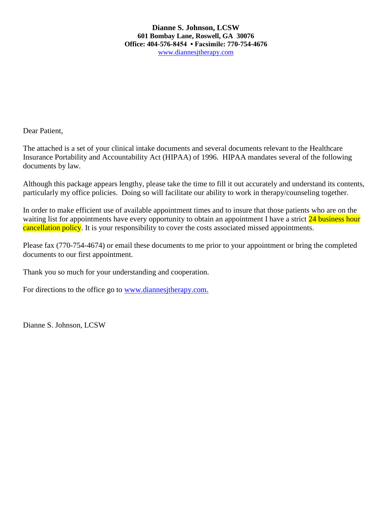Dear Patient,

The attached is a set of your clinical intake documents and several documents relevant to the Healthcare Insurance Portability and Accountability Act (HIPAA) of 1996. HIPAA mandates several of the following documents by law.

Although this package appears lengthy, please take the time to fill it out accurately and understand its contents, particularly my office policies. Doing so will facilitate our ability to work in therapy/counseling together.

In order to make efficient use of available appointment times and to insure that those patients who are on the waiting list for appointments have every opportunity to obtain an appointment I have a strict 24 business hour cancellation policy. It is your responsibility to cover the costs associated missed appointments.

Please fax (770-754-4674) or email these documents to me prior to your appointment or bring the completed documents to our first appointment.

Thank you so much for your understanding and cooperation.

For directions to the office go to [www.diannesjtherapy.com.](http://www.diannesjtherapy.com./)

Dianne S. Johnson, LCSW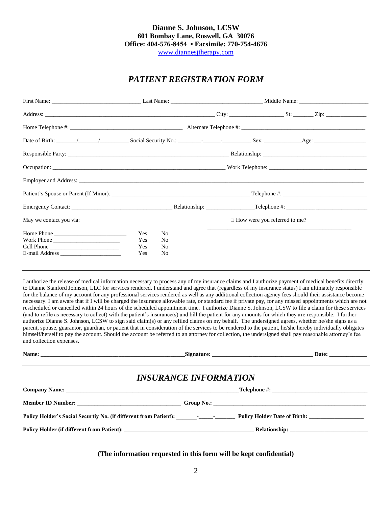# *PATIENT REGISTRATION FORM*

| May we contact you via: |                                                                          |  | $\Box$ How were you referred to me? |  |
|-------------------------|--------------------------------------------------------------------------|--|-------------------------------------|--|
| Home Phone              | No<br>Yes<br>Yes<br>N <sub>o</sub><br>Yes<br>N <sub>o</sub><br>Yes<br>No |  |                                     |  |

I authorize the release of medical information necessary to process any of my insurance claims and I authorize payment of medical benefits directly to Dianne Stanford Johnson, LLC for services rendered. I understand and agree that (regardless of my insurance status) I am ultimately responsible for the balance of my account for any professional services rendered as well as any additional collection agency fees should their assistance become necessary. I am aware that if I will be charged the insurance allowable rate, or standard fee if private pay, for any missed appointments which are not rescheduled or cancelled within 24 hours of the scheduled appointment time. I authorize Dianne S. Johnson, LCSW to file a claim for these services (and to refile as necessary to collect) with the patient's insurance(s) and bill the patient for any amounts for which they are responsible. I further authorize Dianne S. Johnson, LCSW to sign said claim(s) or any refiled claims on my behalf. The undersigned agrees, whether he/she signs as a parent, spouse, guarantor, guardian, or patient that in consideration of the services to be rendered to the patient, he/she hereby individually obligates himself/herself to pay the account. Should the account be referred to an attorney for collection, the undersigned shall pay reasonable attorney's fee and collection expenses.

|                                                                                                                   | <i><b>INSURANCE INFORMATION</b></i> |  |
|-------------------------------------------------------------------------------------------------------------------|-------------------------------------|--|
|                                                                                                                   |                                     |  |
|                                                                                                                   |                                     |  |
| Policy Holder's Social Securtiy No. (if different from Patient): Policy Holder Date of Birth: ___________________ |                                     |  |
|                                                                                                                   |                                     |  |
|                                                                                                                   |                                     |  |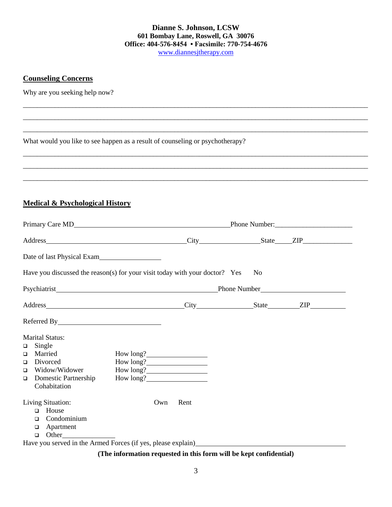\_\_\_\_\_\_\_\_\_\_\_\_\_\_\_\_\_\_\_\_\_\_\_\_\_\_\_\_\_\_\_\_\_\_\_\_\_\_\_\_\_\_\_\_\_\_\_\_\_\_\_\_\_\_\_\_\_\_\_\_\_\_\_\_\_\_\_\_\_\_\_\_\_\_\_\_\_\_\_\_\_\_\_\_\_\_\_\_\_\_\_\_\_\_\_\_\_\_ \_\_\_\_\_\_\_\_\_\_\_\_\_\_\_\_\_\_\_\_\_\_\_\_\_\_\_\_\_\_\_\_\_\_\_\_\_\_\_\_\_\_\_\_\_\_\_\_\_\_\_\_\_\_\_\_\_\_\_\_\_\_\_\_\_\_\_\_\_\_\_\_\_\_\_\_\_\_\_\_\_\_\_\_\_\_\_\_\_\_\_\_\_\_\_\_\_\_ \_\_\_\_\_\_\_\_\_\_\_\_\_\_\_\_\_\_\_\_\_\_\_\_\_\_\_\_\_\_\_\_\_\_\_\_\_\_\_\_\_\_\_\_\_\_\_\_\_\_\_\_\_\_\_\_\_\_\_\_\_\_\_\_\_\_\_\_\_\_\_\_\_\_\_\_\_\_\_\_\_\_\_\_\_\_\_\_\_\_\_\_\_\_\_\_\_\_

\_\_\_\_\_\_\_\_\_\_\_\_\_\_\_\_\_\_\_\_\_\_\_\_\_\_\_\_\_\_\_\_\_\_\_\_\_\_\_\_\_\_\_\_\_\_\_\_\_\_\_\_\_\_\_\_\_\_\_\_\_\_\_\_\_\_\_\_\_\_\_\_\_\_\_\_\_\_\_\_\_\_\_\_\_\_\_\_\_\_\_\_\_\_\_\_\_\_ \_\_\_\_\_\_\_\_\_\_\_\_\_\_\_\_\_\_\_\_\_\_\_\_\_\_\_\_\_\_\_\_\_\_\_\_\_\_\_\_\_\_\_\_\_\_\_\_\_\_\_\_\_\_\_\_\_\_\_\_\_\_\_\_\_\_\_\_\_\_\_\_\_\_\_\_\_\_\_\_\_\_\_\_\_\_\_\_\_\_\_\_\_\_\_\_\_\_ \_\_\_\_\_\_\_\_\_\_\_\_\_\_\_\_\_\_\_\_\_\_\_\_\_\_\_\_\_\_\_\_\_\_\_\_\_\_\_\_\_\_\_\_\_\_\_\_\_\_\_\_\_\_\_\_\_\_\_\_\_\_\_\_\_\_\_\_\_\_\_\_\_\_\_\_\_\_\_\_\_\_\_\_\_\_\_\_\_\_\_\_\_\_\_\_\_\_

# **Counseling Concerns**

Why are you seeking help now?

What would you like to see happen as a result of counseling or psychotherapy?

## **Medical & Psychological History**

| Date of last Physical Exam                                                                                                                                           |                        |                |  |  |
|----------------------------------------------------------------------------------------------------------------------------------------------------------------------|------------------------|----------------|--|--|
| Have you discussed the reason(s) for your visit today with your doctor? Yes                                                                                          |                        | N <sub>0</sub> |  |  |
|                                                                                                                                                                      |                        |                |  |  |
|                                                                                                                                                                      |                        |                |  |  |
|                                                                                                                                                                      |                        |                |  |  |
| Marital Status:<br>Single<br>$\Box$<br>Married<br>$\Box$<br>Divorced<br>$\Box$<br>Widow/Widower<br>$\Box$<br>Domestic Partnership<br>$\Box$<br>Cohabitation          | How long?<br>How long? |                |  |  |
| Living Situation:<br>House<br>$\Box$<br>Condominium<br>$\Box$<br>$\Box$ Apartment<br>Other<br>$\Box$<br>Have you served in the Armed Forces (if yes, please explain) | Rent<br>Own            |                |  |  |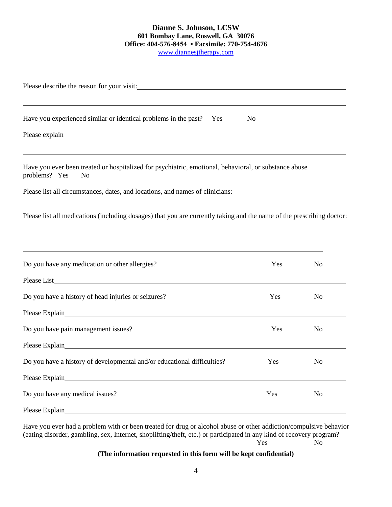| Please describe the reason for your visit:                                                                                                              |                |                |
|---------------------------------------------------------------------------------------------------------------------------------------------------------|----------------|----------------|
| ,我们也不会有一个人的人,我们也不会有一个人的人,我们也不会有一个人的人。""我们,我们也不会有一个人的人,我们也不会有一个人的人。""我们,我们也不会有一个人<br>Have you experienced similar or identical problems in the past? Yes | N <sub>o</sub> |                |
| Have you ever been treated or hospitalized for psychiatric, emotional, behavioral, or substance abuse<br>problems? Yes<br>N <sub>0</sub>                |                |                |
| Please list all circumstances, dates, and locations, and names of clinicians:                                                                           |                |                |
| Please list all medications (including dosages) that you are currently taking and the name of the prescribing doctor:                                   |                |                |
| Do you have any medication or other allergies?                                                                                                          | Yes            | N <sub>0</sub> |
| Do you have a history of head injuries or seizures?                                                                                                     | Yes            | N <sub>o</sub> |
| Do you have pain management issues?                                                                                                                     | Yes            | N <sub>o</sub> |
|                                                                                                                                                         |                |                |
| Do you have a history of developmental and/or educational difficulties?                                                                                 | Yes            | N <sub>o</sub> |
| Please Explain                                                                                                                                          |                |                |
| Do you have any medical issues?                                                                                                                         | Yes            | N <sub>o</sub> |
|                                                                                                                                                         |                |                |

Have you ever had a problem with or been treated for drug or alcohol abuse or other addiction/compulsive behavior (eating disorder, gambling, sex, Internet, shoplifting/theft, etc.) or participated in any kind of recovery program? Yes No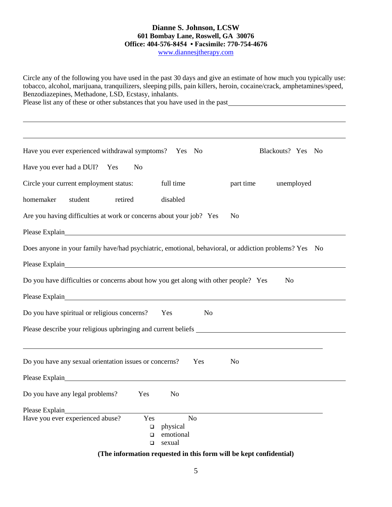[www.diannesjtherapy.com](http://www.diannesjtherapy.com/)

| Circle any of the following you have used in the past 30 days and give an estimate of how much you typically use:<br>tobacco, alcohol, marijuana, tranquilizers, sleeping pills, pain killers, heroin, cocaine/crack, amphetamines/speed,<br>Benzodiazepines, Methadone, LSD, Ecstasy, inhalants. |  |  |  |  |  |  |  |  |
|---------------------------------------------------------------------------------------------------------------------------------------------------------------------------------------------------------------------------------------------------------------------------------------------------|--|--|--|--|--|--|--|--|
| ,我们也不会有什么。""我们的人,我们也不会有什么?""我们的人,我们也不会有什么?""我们的人,我们也不会有什么?""我们的人,我们也不会有什么?""我们的人<br>Have you ever experienced withdrawal symptoms? Yes No<br>Blackouts? Yes No                                                                                                                                    |  |  |  |  |  |  |  |  |
| Have you ever had a DUI? Yes<br>N <sub>o</sub>                                                                                                                                                                                                                                                    |  |  |  |  |  |  |  |  |
| Circle your current employment status:<br>full time<br>unemployed<br>part time                                                                                                                                                                                                                    |  |  |  |  |  |  |  |  |
| disabled<br>homemaker<br>student<br>retired                                                                                                                                                                                                                                                       |  |  |  |  |  |  |  |  |
| Are you having difficulties at work or concerns about your job? Yes<br>N <sub>o</sub>                                                                                                                                                                                                             |  |  |  |  |  |  |  |  |
|                                                                                                                                                                                                                                                                                                   |  |  |  |  |  |  |  |  |
| Does anyone in your family have/had psychiatric, emotional, behavioral, or addiction problems? Yes<br>- No                                                                                                                                                                                        |  |  |  |  |  |  |  |  |
|                                                                                                                                                                                                                                                                                                   |  |  |  |  |  |  |  |  |
| Do you have difficulties or concerns about how you get along with other people? Yes<br>N <sub>o</sub>                                                                                                                                                                                             |  |  |  |  |  |  |  |  |
|                                                                                                                                                                                                                                                                                                   |  |  |  |  |  |  |  |  |
| Do you have spiritual or religious concerns?<br>Yes<br>N <sub>o</sub>                                                                                                                                                                                                                             |  |  |  |  |  |  |  |  |
| Please describe your religious upbringing and current beliefs                                                                                                                                                                                                                                     |  |  |  |  |  |  |  |  |
| <u> 1989 - Andrea Andrew Maria (h. 1989).</u><br>Do you have any sexual orientation issues or concerns? Yes No                                                                                                                                                                                    |  |  |  |  |  |  |  |  |
| Please Explain                                                                                                                                                                                                                                                                                    |  |  |  |  |  |  |  |  |
| Do you have any legal problems?<br>Yes<br>N <sub>0</sub>                                                                                                                                                                                                                                          |  |  |  |  |  |  |  |  |
| Please Explain                                                                                                                                                                                                                                                                                    |  |  |  |  |  |  |  |  |
| Have you ever experienced abuse?<br>Yes<br>N <sub>o</sub><br>physical<br>$\Box$<br>emotional<br>□<br>sexual<br>❏                                                                                                                                                                                  |  |  |  |  |  |  |  |  |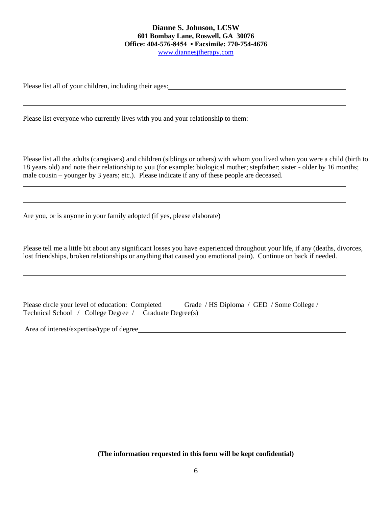l

l

l

Please list all of your children, including their ages:

Please list everyone who currently lives with you and your relationship to them:

Please list all the adults (caregivers) and children (siblings or others) with whom you lived when you were a child (birth to 18 years old) and note their relationship to you (for example: biological mother; stepfather; sister - older by 16 months; male cousin – younger by 3 years; etc.). Please indicate if any of these people are deceased.

l

l

Are you, or is anyone in your family adopted (if yes, please elaborate)

Please tell me a little bit about any significant losses you have experienced throughout your life, if any (deaths, divorces, lost friendships, broken relationships or anything that caused you emotional pain). Continue on back if needed.

Please circle your level of education: Completed\_\_\_\_\_Grade / HS Diploma / GED / Some College / Technical School / College Degree / Graduate Degree(s)

Area of interest/expertise/type of degree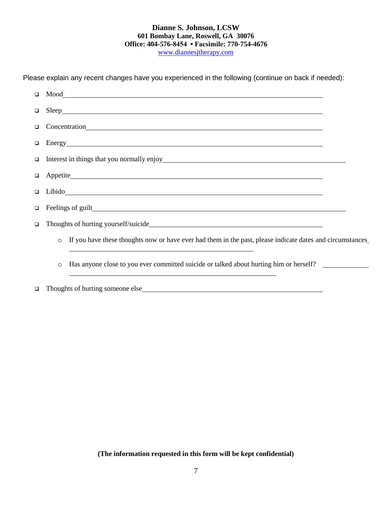Please explain any recent changes have you experienced in the following (continue on back if needed):

| $\Box$ |                                                                                                                                                                                                                                |  |
|--------|--------------------------------------------------------------------------------------------------------------------------------------------------------------------------------------------------------------------------------|--|
| □      | Sleep                                                                                                                                                                                                                          |  |
| $\Box$ | Concentration expansion and the contract of the contract of the contract of the contract of the contract of the contract of the contract of the contract of the contract of the contract of the contract of the contract of th |  |
| $\Box$ | Energy_                                                                                                                                                                                                                        |  |
| $\Box$ |                                                                                                                                                                                                                                |  |
| $\Box$ | Appetite                                                                                                                                                                                                                       |  |
| $\Box$ | Libido                                                                                                                                                                                                                         |  |
| □      |                                                                                                                                                                                                                                |  |
| $\Box$ | Thoughts of hurting yourself/suicide<br>Thoughts of hurting yourself/suicide                                                                                                                                                   |  |
|        | If you have these thoughts now or have ever had them in the past, please indicate dates and circumstances<br>$\circ$                                                                                                           |  |
|        | Has anyone close to you ever committed suicide or talked about hurting him or herself?<br>$\circ$                                                                                                                              |  |

❑ Thoughts of hurting someone else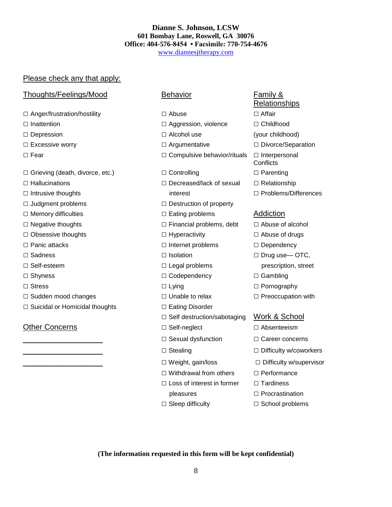Please check any that apply:

# Thoughts/Feelings/Mood Behavior Behavior Family &

- □ Anger/frustration/hostility □ Abuse □ Affair
- 
- 
- □ Excessive worry □ △ Pargumentative □ Divorce/Separation
- 
- □ Grieving (death, divorce, etc.) □ Controlling □ Parenting □ Parenting
- 
- 
- 
- □ Memory difficulties □ □ Eating problems Addiction
- 
- □ Obsessive thoughts □ Hyperactivity □ Abuse of drugs
- 
- 
- 
- 
- 
- □ Sudden mood changes □ □ Unable to relax □ Preoccupation with
- □ Suicidal or Homicidal thoughts □ Eating Disorder

# Other Concerns □ Self-neglect □ Absenteeism

- 
- □ Inattention □ △ □ △ □ Aggression, violence □ Childhood
- □ Depression □ Alcohol use (your childhood)
	-
- □ Fear □ Compulsive behavior/rituals □ Interpersonal
	-
- □ Hallucinations □ Decreased/lack of sexual □ Relationship □ Intrusive thoughts interest □ Problems/Differences
- □ Judgment problems □ □ Destruction of property
	-
- □ Negative thoughts □ Financial problems, debt □ Abuse of alcohol
	-
- □ Panic attacks □ Internet problems □ Dependency
	-
- □ Self-esteem □ Degal problems prescription, street
- □ Shyness □ ○ □ Codependency □ Gambling
	-
	-
	-
	- □ Self destruction/sabotaging Work & School
	-
	- □ Sexual dysfunction □ Career concerns
	-
	-
	- □ Withdrawal from others □ Performance
	- □ Loss of interest in former □ Tardiness
		-
	-

# Relationships

- 
- 
- 
- 
- 
- **Conflicts**
- 
- 
- 

- 
- 
- 
- □ Sadness □ Isolation □ Isolation □ Drug use— OTC,
	-
	-
- □ Stress □ Lying □ Pornography
	-

- 
- 
- □ Stealing □ □ Difficulty w/coworkers
- □ Weight, gain/loss □ Difficulty w/supervisor
	-
	-
	- pleasures □ Procrastination
- □ Sleep difficulty □ School problems

- 
-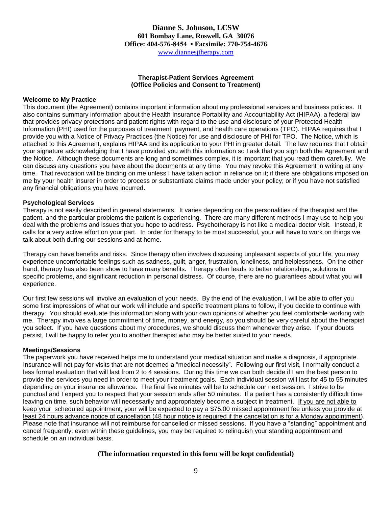#### **Therapist-Patient Services Agreement (Office Policies and Consent to Treatment)**

#### **Welcome to My Practice**

This document (the Agreement) contains important information about my professional services and business policies. It also contains summary information about the Health Insurance Portability and Accountability Act (HIPAA), a federal law that provides privacy protections and patient rights with regard to the use and disclosure of your Protected Health Information (PHI) used for the purposes of treatment, payment, and health care operations (TPO). HIPAA requires that I provide you with a Notice of Privacy Practices (the Notice) for use and disclosure of PHI for TPO. The Notice, which is attached to this Agreement, explains HIPAA and its application to your PHI in greater detail. The law requires that I obtain your signature acknowledging that I have provided you with this information so I ask that you sign both the Agreement and the Notice. Although these documents are long and sometimes complex, it is important that you read them carefully. We can discuss any questions you have about the documents at any time. You may revoke this Agreement in writing at any time. That revocation will be binding on me unless I have taken action in reliance on it; if there are obligations imposed on me by your health insurer in order to process or substantiate claims made under your policy; or if you have not satisfied any financial obligations you have incurred.

#### **Psychological Services**

Therapy is not easily described in general statements. It varies depending on the personalities of the therapist and the patient, and the particular problems the patient is experiencing. There are many different methods I may use to help you deal with the problems and issues that you hope to address. Psychotherapy is not like a medical doctor visit. Instead, it calls for a very active effort on your part. In order for therapy to be most successful, your will have to work on things we talk about both during our sessions and at home.

Therapy can have benefits and risks. Since therapy often involves discussing unpleasant aspects of your life, you may experience uncomfortable feelings such as sadness, guilt, anger, frustration, loneliness, and helplessness. On the other hand, therapy has also been show to have many benefits. Therapy often leads to better relationships, solutions to specific problems, and significant reduction in personal distress. Of course, there are no guarantees about what you will experience.

Our first few sessions will involve an evaluation of your needs. By the end of the evaluation, I will be able to offer you some first impressions of what our work will include and specific treatment plans to follow, if you decide to continue with therapy. You should evaluate this information along with your own opinions of whether you feel comfortable working with me. Therapy involves a large commitment of time, money, and energy, so you should be very careful about the therapist you select. If you have questions about my procedures, we should discuss them whenever they arise. If your doubts persist, I will be happy to refer you to another therapist who may be better suited to your needs.

#### **Meetings/Sessions**

The paperwork you have received helps me to understand your medical situation and make a diagnosis, if appropriate. Insurance will not pay for visits that are not deemed a "medical necessity". Following our first visit, I normally conduct a less formal evaluation that will last from 2 to 4 sessions. During this time we can both decide if I am the best person to provide the services you need in order to meet your treatment goals. Each individual session will last for 45 to 55 minutes depending on your insurance allowance. The final five minutes will be to schedule our next session. I strive to be punctual and I expect you to respect that your session ends after 50 minutes. If a patient has a consistently difficult time leaving on time, such behavior will necessarily and appropriately become a subject in treatment. If you are not able to keep your scheduled appointment, your will be expected to pay a \$75.00 missed appointment fee unless you provide at least 24 hours advance notice of cancellation (48 hour notice is required if the cancellation is for a Monday appointment). Please note that insurance will not reimburse for cancelled or missed sessions. If you have a "standing" appointment and cancel frequently, even within these guidelines, you may be required to relinquish your standing appointment and schedule on an individual basis.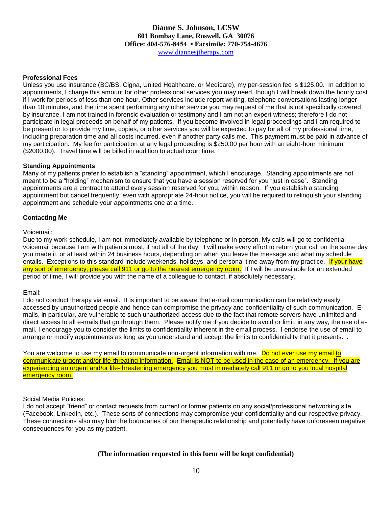[www.diannesjtherapy.com](http://www.diannesjtherapy.com/)

#### **Professional Fees**

Unless you use insurance (BC/BS, Cigna, United Healthcare, or Medicare), my per-session fee is \$125.00. In addition to appointments, I charge this amount for other professional services you may need, though I will break down the hourly cost if I work for periods of less than one hour. Other services include report writing, telephone conversations lasting longer than 10 minutes, and the time spent performing any other service you may request of me that is not specifically covered by insurance. I am not trained in forensic evaluation or testimony and I am not an expert witness; therefore I do not participate in legal proceeds on behalf of my patients. If you become involved in legal proceedings and I am required to be present or to provide my time, copies, or other services you will be expected to pay for all of my professional time, including preparation time and all costs incurred, even if another party calls me. This payment must be paid in advance of my participation. My fee for participation at any legal proceeding is \$250.00 per hour with an eight-hour minimum (\$2000.00). Travel time will be billed in addition to actual court time.

#### **Standing Appointments**

Many of my patients prefer to establish a "standing" appointment, which I encourage. Standing appointments are not meant to be a "holding" mechanism to ensure that you have a session reserved for you "just in case". Standing appointments are a contract to attend every session reserved for you, within reason. If you establish a standing appointment but cancel frequently, even with appropriate 24-hour notice, you will be required to relinquish your standing appointment and schedule your appointments one at a time.

#### **Contacting Me**

#### Voicemail:

Due to my work schedule, I am not immediately available by telephone or in person. My calls will go to confidential voicemail because I am with patients most, if not all of the day. I will make every effort to return your call on the same day you made it, or at least within 24 business hours, depending on when you leave the message and what my schedule entails. Exceptions to this standard include weekends, holidays, and personal time away from my practice. If your have any sort of emergency, please call 911 or go to the nearest emergency room. If I will be unavailable for an extended period of time, I will provide you with the name of a colleague to contact, if absolutely necessary.

#### Email:

I do not conduct therapy via email. It is important to be aware that e-mail communication can be relatively easily accessed by unauthorized people and hence can compromise the privacy and confidentiality of such communication. Emails, in particular, are vulnerable to such unauthorized access due to the fact that remote servers have unlimited and direct access to all e-mails that go through them. Please notify me if you decide to avoid or limit, in any way, the use of email. I encourage you to consider the limits to confidentiality inherent in the email process. I endorse the use of email to arrange or modify appointments as long as you understand and accept the limits to confidentiality that it presents. .

You are welcome to use my email to communicate non-urgent information with me. Do not ever use my email to communicate urgent and/or life-threating information. Email is NOT to be used in the case of an emergency. If you are experiencing an urgent and/or life-threatening emergency you must immediately call 911 or go to you local hospital emergency room.

#### Social Media Policies:

I do not accept "friend" or contact requests from current or former patients on any social/professional networking site (Facebook, LinkedIn, etc.). These sorts of connections may compromise your confidentiality and our respective privacy. These connections also may blur the boundaries of our therapeutic relationship and potentially have unforeseen negative consequences for you as my patient.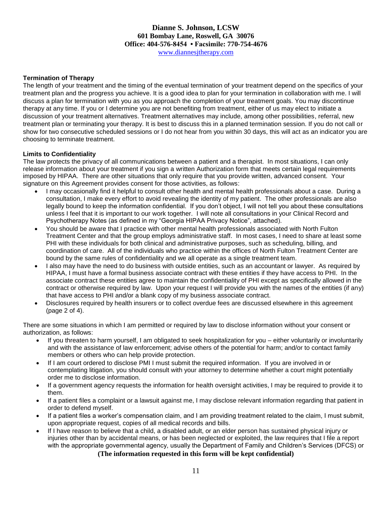[www.diannesjtherapy.com](http://www.diannesjtherapy.com/)

#### **Termination of Therapy**

The length of your treatment and the timing of the eventual termination of your treatment depend on the specifics of your treatment plan and the progress you achieve. It is a good idea to plan for your termination in collaboration with me. I will discuss a plan for termination with you as you approach the completion of your treatment goals. You may discontinue therapy at any time. If you or I determine you are not benefiting from treatment, either of us may elect to initiate a discussion of your treatment alternatives. Treatment alternatives may include, among other possibilities, referral, new treatment plan or terminating your therapy. It is best to discuss this in a planned termination session. If you do not call or show for two consecutive scheduled sessions or I do not hear from you within 30 days, this will act as an indicator you are choosing to terminate treatment.

#### **Limits to Confidentiality**

The law protects the privacy of all communications between a patient and a therapist. In most situations, I can only release information about your treatment if you sign a written Authorization form that meets certain legal requirements imposed by HIPAA. There are other situations that only require that you provide written, advanced consent. Your signature on this Agreement provides consent for those activities, as follows:

- I may occasionally find it helpful to consult other health and mental health professionals about a case. During a consultation, I make every effort to avoid revealing the identity of my patient. The other professionals are also legally bound to keep the information confidential. If you don't object, I will not tell you about these consultations unless I feel that it is important to our work together. I will note all consultations in your Clinical Record and Psychotherapy Notes (as defined in my "Georgia HIPAA Privacy Notice", attached).
- You should be aware that I practice with other mental health professionals associated with North Fulton Treatment Center and that the group employs administrative staff. In most cases, I need to share at least some PHI with these individuals for both clinical and administrative purposes, such as scheduling, billing, and coordination of care. All of the individuals who practice within the offices of North Fulton Treatment Center are bound by the same rules of confidentiality and we all operate as a single treatment team.
- I also may have the need to do business with outside entities, such as an accountant or lawyer. As required by HIPAA, I must have a formal business associate contract with these entities if they have access to PHI. In the associate contract these entities agree to maintain the confidentiality of PHI except as specifically allowed in the contract or otherwise required by law. Upon your request I will provide you with the names of the entities (if any) that have access to PHI and/or a blank copy of my business associate contract.
- Disclosures required by health insurers or to collect overdue fees are discussed elsewhere in this agreement (page 2 of 4).

There are some situations in which I am permitted or required by law to disclose information without your consent or authorization, as follows:

- If you threaten to harm yourself, I am obligated to seek hospitalization for you either voluntarily or involuntarily and with the assistance of law enforcement; advise others of the potential for harm; and/or to contact family members or others who can help provide protection.
- If I am court ordered to disclose PMI I must submit the required information. If you are involved in or contemplating litigation, you should consult with your attorney to determine whether a court might potentially order me to disclose information.
- If a government agency requests the information for health oversight activities, I may be required to provide it to them.
- If a patient files a complaint or a lawsuit against me, I may disclose relevant information regarding that patient in order to defend myself.
- If a patient files a worker's compensation claim, and I am providing treatment related to the claim, I must submit, upon appropriate request, copies of all medical records and bills.
- **(The information requested in this form will be kept confidential)** • If I have reason to believe that a child, a disabled adult, or an elder person has sustained physical injury or injuries other than by accidental means, or has been neglected or exploited, the law requires that I file a report with the appropriate governmental agency, usually the Department of Family and Children's Services (DFCS) or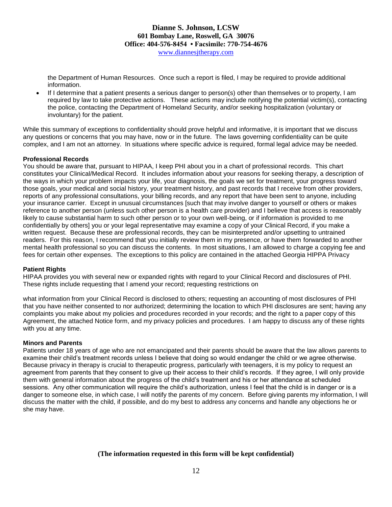the Department of Human Resources. Once such a report is filed, I may be required to provide additional information.

• If I determine that a patient presents a serious danger to person(s) other than themselves or to property, I am required by law to take protective actions. These actions may include notifying the potential victim(s), contacting the police, contacting the Department of Homeland Security, and/or seeking hospitalization (voluntary or involuntary) for the patient.

While this summary of exceptions to confidentiality should prove helpful and informative, it is important that we discuss any questions or concerns that you may have, now or in the future. The laws governing confidentiality can be quite complex, and I am not an attorney. In situations where specific advice is required, formal legal advice may be needed.

#### **Professional Records**

You should be aware that, pursuant to HIPAA, I keep PHI about you in a chart of professional records. This chart constitutes your Clinical/Medical Record. It includes information about your reasons for seeking therapy, a description of the ways in which your problem impacts your life, your diagnosis, the goals we set for treatment, your progress toward those goals, your medical and social history, your treatment history, and past records that I receive from other providers, reports of any professional consultations, your billing records, and any report that have been sent to anyone, including your insurance carrier. Except in unusual circumstances [such that may involve danger to yourself or others or makes reference to another person (unless such other person is a health care provider) and I believe that access is reasonably likely to cause substantial harm to such other person or to your own well-being, or if information is provided to me confidentially by others] you or your legal representative may examine a copy of your Clinical Record, if you make a written request. Because these are professional records, they can be misinterpreted and/or upsetting to untrained readers. For this reason, I recommend that you initially review them in my presence, or have them forwarded to another mental health professional so you can discuss the contents. In most situations, I am allowed to charge a copying fee and fees for certain other expenses. The exceptions to this policy are contained in the attached Georgia HIPPA Privacy

#### **Patient Rights**

HIPAA provides you with several new or expanded rights with regard to your Clinical Record and disclosures of PHI. These rights include requesting that I amend your record; requesting restrictions on

what information from your Clinical Record is disclosed to others; requesting an accounting of most disclosures of PHI that you have neither consented to nor authorized; determining the location to which PHI disclosures are sent; having any complaints you make about my policies and procedures recorded in your records; and the right to a paper copy of this Agreement, the attached Notice form, and my privacy policies and procedures. I am happy to discuss any of these rights with you at any time.

#### **Minors and Parents**

Patients under 18 years of age who are not emancipated and their parents should be aware that the law allows parents to examine their child's treatment records unless I believe that doing so would endanger the child or we agree otherwise. Because privacy in therapy is crucial to therapeutic progress, particularly with teenagers, it is my policy to request an agreement from parents that they consent to give up their access to their child's records. If they agree, I will only provide them with general information about the progress of the child's treatment and his or her attendance at scheduled sessions. Any other communication will require the child's authorization, unless I feel that the child is in danger or is a danger to someone else, in which case, I will notify the parents of my concern. Before giving parents my information, I will discuss the matter with the child, if possible, and do my best to address any concerns and handle any objections he or she may have.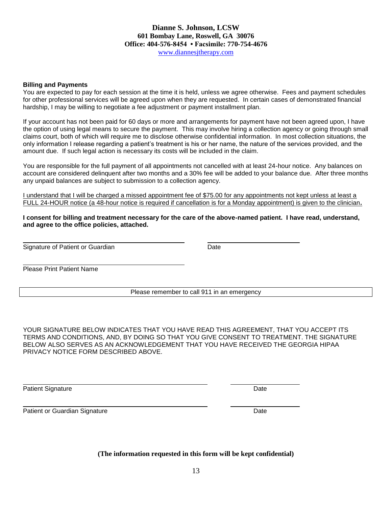#### **Billing and Payments**

You are expected to pay for each session at the time it is held, unless we agree otherwise. Fees and payment schedules for other professional services will be agreed upon when they are requested. In certain cases of demonstrated financial hardship, I may be willing to negotiate a fee adjustment or payment installment plan.

If your account has not been paid for 60 days or more and arrangements for payment have not been agreed upon, I have the option of using legal means to secure the payment. This may involve hiring a collection agency or going through small claims court, both of which will require me to disclose otherwise confidential information. In most collection situations, the only information I release regarding a patient's treatment is his or her name, the nature of the services provided, and the amount due. If such legal action is necessary its costs will be included in the claim.

You are responsible for the full payment of all appointments not cancelled with at least 24-hour notice. Any balances on account are considered delinquent after two months and a 30% fee will be added to your balance due. After three months any unpaid balances are subject to submission to a collection agency.

I understand that I will be charged a missed appointment fee of \$75.00 for any appointments not kept unless at least a FULL 24-HOUR notice (a 48-hour notice is required if cancellation is for a Monday appointment) is given to the clinician**.** 

**I consent for billing and treatment necessary for the care of the above-named patient. I have read, understand, and agree to the office policies, attached.** 

Signature of Patient or Guardian Date Date

Please Print Patient Name

Please remember to call 911 in an emergency

YOUR SIGNATURE BELOW INDICATES THAT YOU HAVE READ THIS AGREEMENT, THAT YOU ACCEPT ITS TERMS AND CONDITIONS, AND, BY DOING SO THAT YOU GIVE CONSENT TO TREATMENT. THE SIGNATURE BELOW ALSO SERVES AS AN ACKNOWLEDGEMENT THAT YOU HAVE RECEIVED THE GEORGIA HIPAA PRIVACY NOTICE FORM DESCRIBED ABOVE.

Patient Signature Date Date of the Date of the Date Date Date Date Date Date

Patient or Guardian Signature **Date of Australian Structure** Date Date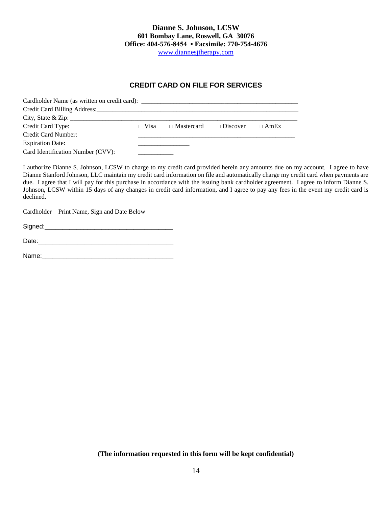#### **CREDIT CARD ON FILE FOR SERVICES**

| Cardholder Name (as written on credit card): |             |                   |                 |             |
|----------------------------------------------|-------------|-------------------|-----------------|-------------|
|                                              |             |                   |                 |             |
|                                              |             |                   |                 |             |
| Credit Card Type:                            | $\Box$ Visa | $\Box$ Mastercard | $\Box$ Discover | $\Box$ AmEx |
| Credit Card Number:                          |             |                   |                 |             |
| <b>Expiration Date:</b>                      |             |                   |                 |             |
| Card Identification Number (CVV):            |             |                   |                 |             |

I authorize Dianne S. Johnson, LCSW to charge to my credit card provided herein any amounts due on my account. I agree to have Dianne Stanford Johnson, LLC maintain my credit card information on file and automatically charge my credit card when payments are due. I agree that I will pay for this purchase in accordance with the issuing bank cardholder agreement. I agree to inform Dianne S. Johnson, LCSW within 15 days of any changes in credit card information, and I agree to pay any fees in the event my credit card is declined.

Cardholder – Print Name, Sign and Date Below

| Signed: |  |  |  |
|---------|--|--|--|
|         |  |  |  |
| Date:   |  |  |  |

| Name: |  |  |  |
|-------|--|--|--|
|       |  |  |  |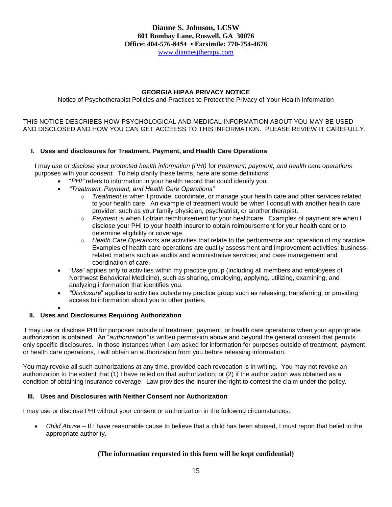[www.diannesjtherapy.com](http://www.diannesjtherapy.com/)

#### **GEORGIA HIPAA PRIVACY NOTICE**

Notice of Psychotherapist Policies and Practices to Protect the Privacy of Your Health Information

THIS NOTICE DESCRIBES HOW PSYCHOLOGICAL AND MEDICAL INFORMATION ABOUT YOU MAY BE USED AND DISCLOSED AND HOW YOU CAN GET ACCEESS TO THIS INFORMATION. PLEASE REVIEW IT CAREFULLY.

#### **I. Uses and disclosures for Treatment, Payment, and Health Care Operations**

I may *use* or *disclose* your *protected health information (PHI)* for *treatment, payment, and health care operations*  purposes with your *consent.* To help clarify these terms, here are some definitions:

- "*PHI"* refers to information in your health record that could identify you.
- *"Treatment, Payment, and Health Care Operations"*
	- o *Treatment* is when I provide, coordinate, or manage your health care and other services related to your health care. An example of treatment would be when I consult with another health care provider, such as your family physician, psychiatrist, or another therapist.
	- o *Payment* is when I obtain reimbursement for your healthcare. Examples of payment are when I disclose your PHI to your health insurer to obtain reimbursement for your health care or to determine eligibility or coverage.
	- o *Health Care Operations* are activities that relate to the performance and operation of my practice. Examples of health care operations are quality assessment and improvement activities; businessrelated matters such as audits and administrative services; and case management and coordination of care.
- *"Use"* applies only to activities within my practice group (including all members and employees of Northwest Behavioral Medicine), such as sharing, employing, applying, utilizing, examining, and analyzing information that identifies you.
- *"Disclosure*" applies to activities outside my practice group such as releasing, transferring, or providing access to information about you to other parties.

#### •

### **II. Uses and Disclosures Requiring Authorization**

I may use or disclose PHI for purposes outside of treatment, payment, or health care operations when your appropriate authorization is obtained. An "*authorization"* is written permission above and beyond the general consent that permits only specific disclosures. In those instances when I am asked for information for purposes outside of treatment, payment, or health care operations, I will obtain an authorization from you before releasing information.

You may revoke all such authorizations at any time, provided each revocation is in writing. You may not revoke an authorization to the extent that (1) I have relied on that authorization; or (2) if the authorization was obtained as a condition of obtaining insurance coverage. Law provides the insurer the right to contest the claim under the policy.

### **III. Uses and Disclosures with Neither Consent nor Authorization**

I may use or disclose PHI without your consent or authorization in the following circumstances:

• *Child Abuse* – If I have reasonable cause to believe that a child has been abused, I must report that belief to the appropriate authority.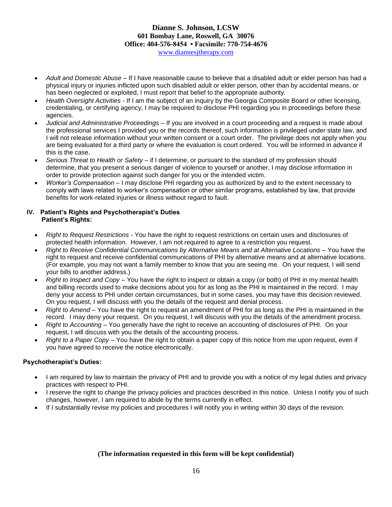[www.diannesjtherapy.com](http://www.diannesjtherapy.com/)

- *Adult and Domestic Abuse*  If I have reasonable cause to believe that a disabled adult or elder person has had a physical injury or injuries inflicted upon such disabled adult or elder person, other than by accidental means, or has been neglected or exploited, I must report that belief to the appropriate authority.
- *Health Oversight Activities*  If I am the subject of an inquiry by the Georgia Composite Board or other licensing, credentialing, or certifying agency, I may be required to disclose PHI regarding you in proceedings before these agencies.
- *Judicial and Administrative Proceedings*  If you are involved in a court proceeding and a request is made about the professional services I provided you or the records thereof, such information is privileged under state law, and I will not release information without your written consent or a court order. The privilege does not apply when you are being evaluated for a third party or where the evaluation is court ordered. You will be informed in advance if this is the case.
- *Serious Threat to Health or Safety*  if I determine, or pursuant to the standard of my profession should determine, that you present a serious danger of violence to yourself or another, I may disclose information in order to provide protection against such danger for you or the intended victim.
- *Worker's Compensation* I may disclose PHI regarding you as authorized by and to the extent necessary to comply with laws related to worker's compensation or other similar programs, established by law, that provide benefits for work-related injuries or illness without regard to fault.

#### **IV. Patient's Rights and Psychotherapist's Duties Patient's Rights:**

- *Right to Request Restrictions -* You have the right to request restrictions on certain uses and disclosures of protected health information. However, I am not required to agree to a restriction you request.
- *Right to Receive Confidential Communications by Alternative Means and at Alternative Locations*  You have the right to request and receive confidential communications of PHI by alternative means and at alternative locations. (For example, you may not want a family member to know that you are seeing me. On your request, I will send your bills to another address.)
- *Right to Inspect and Copy* You have the right to inspect or obtain a copy (or both) of PHI in my mental health and billing records used to make decisions about you for as long as the PHI is maintained in the record. I may deny your access to PHI under certain circumstances, but in some cases, you may have this decision reviewed. On you request, I will discuss with you the details of the request and denial process.
- *Right to Amend* You have the right to request an amendment of PHI for as long as the PHI is maintained in the record. I may deny your request. On you request, I will discuss with you the details of the amendment process.
- *Right to Accounting*  You generally have the right to receive an accounting of disclosures of PHI. On your request, I will discuss with you the details of the accounting process.
- *Right to a Paper Copy* You have the right to obtain a paper copy of this notice from me upon request, even if you have agreed to receive the notice electronically.

### **Psychotherapist's Duties:**

- I am required by law to maintain the privacy of PHI and to provide you with a notice of my legal duties and privacy practices with respect to PHI.
- I reserve the right to change the privacy policies and practices described in this notice. Unless I notify you of such changes, however, I am required to abide by the terms currently in effect.
- If I substantially revise my policies and procedures I will notify you in writing within 30 days of the revision.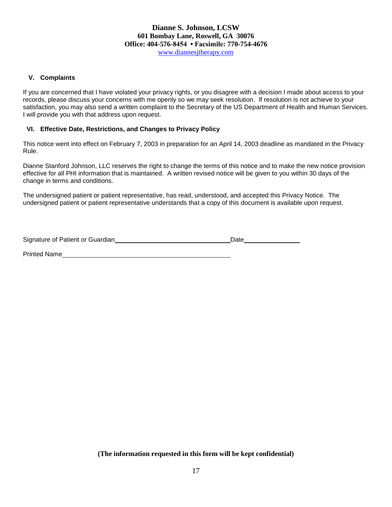#### **V. Complaints**

If you are concerned that I have violated your privacy rights, or you disagree with a decision I made about access to your records, please discuss your concerns with me openly so we may seek resolution. If resolution is not achieve to your satisfaction, you may also send a written complaint to the Secretary of the US Department of Health and Human Services. I will provide you with that address upon request.

#### **VI. Effective Date, Restrictions, and Changes to Privacy Policy**

This notice went into effect on February 7, 2003 in preparation for an April 14, 2003 deadline as mandated in the Privacy Rule.

Dianne Stanford Johnson, LLC reserves the right to change the terms of this notice and to make the new notice provision effective for all PHI information that is maintained. A written revised notice will be given to you within 30 days of the change in terms and conditions.

The undersigned patient or patient representative, has read, understood, and accepted this Privacy Notice. The undersigned patient or patient representative understands that a copy of this document is available upon request.

| Signature of Patient or Guardian | Date |
|----------------------------------|------|
|                                  |      |

Printed Name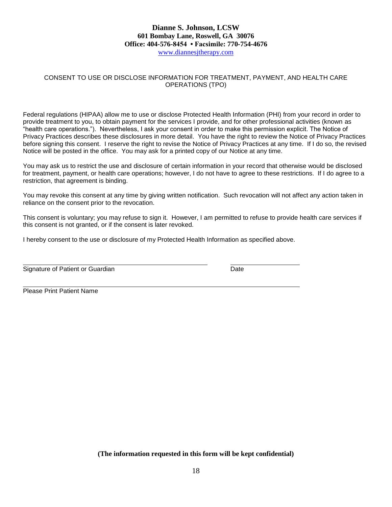[www.diannesjtherapy.com](http://www.diannesjtherapy.com/)

#### CONSENT TO USE OR DISCLOSE INFORMATION FOR TREATMENT, PAYMENT, AND HEALTH CARE OPERATIONS (TPO)

Federal regulations (HIPAA) allow me to use or disclose Protected Health Information (PHI) from your record in order to provide treatment to you, to obtain payment for the services I provide, and for other professional activities (known as "health care operations."). Nevertheless, I ask your consent in order to make this permission explicit. The Notice of Privacy Practices describes these disclosures in more detail. You have the right to review the Notice of Privacy Practices before signing this consent. I reserve the right to revise the Notice of Privacy Practices at any time. If I do so, the revised Notice will be posted in the office. You may ask for a printed copy of our Notice at any time.

You may ask us to restrict the use and disclosure of certain information in your record that otherwise would be disclosed for treatment, payment, or health care operations; however, I do not have to agree to these restrictions. If I do agree to a restriction, that agreement is binding.

You may revoke this consent at any time by giving written notification. Such revocation will not affect any action taken in reliance on the consent prior to the revocation.

This consent is voluntary; you may refuse to sign it. However, I am permitted to refuse to provide health care services if this consent is not granted, or if the consent is later revoked.

I hereby consent to the use or disclosure of my Protected Health Information as specified above.

| Signature of Patient or Guardian | Date |
|----------------------------------|------|
|----------------------------------|------|

Please Print Patient Name